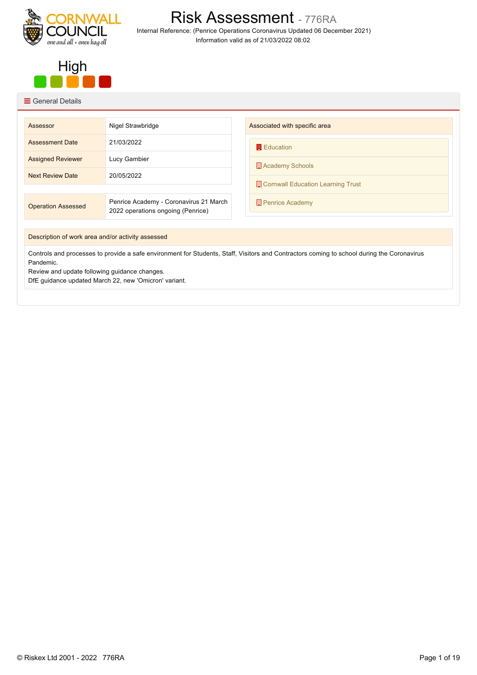

Risk Assessment - 776RA Internal Reference: (Penrice Operations Coronavirus Updated 06 December 2021) Information valid as of 21/03/2022 08:02



## $\equiv$  General Details

| Assessor                                                                                                                                   | Nigel Strawbridge                                                           | Associated with specific area     |
|--------------------------------------------------------------------------------------------------------------------------------------------|-----------------------------------------------------------------------------|-----------------------------------|
| <b>Assessment Date</b>                                                                                                                     | 21/03/2022                                                                  | <b>E</b> ducation                 |
| <b>Assigned Reviewer</b>                                                                                                                   | Lucy Gambier                                                                | Academy Schools                   |
| <b>Next Review Date</b>                                                                                                                    | 20/05/2022                                                                  | Cornwall Education Learning Trust |
|                                                                                                                                            |                                                                             |                                   |
| <b>Operation Assessed</b>                                                                                                                  | Penrice Academy - Coronavirus 21 March<br>2022 operations ongoing (Penrice) | <b>Penrice Academy</b>            |
|                                                                                                                                            |                                                                             |                                   |
| Description of work area and/or activity assessed                                                                                          |                                                                             |                                   |
| Controls and processes to provide a safe environment for Students, Staff, Visitors and Contractors coming to school during the Coronavirus |                                                                             |                                   |

Pandemic.

Review and update following guidance changes.

DfE guidance updated March 22, new 'Omicron' variant.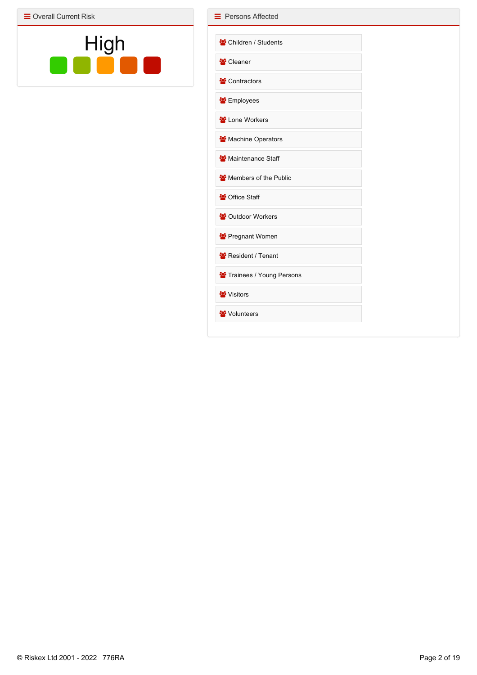$\equiv$  Overall Current Risk



| Children / Students                   |  |
|---------------------------------------|--|
|                                       |  |
| ₩ Cleaner                             |  |
| Contractors                           |  |
| <b>S</b> Employees                    |  |
| Lone Workers                          |  |
| Machine Operators                     |  |
| Maintenance Staff                     |  |
| Members of the Public                 |  |
| <sup>2</sup> Office Staff             |  |
| <sup>22</sup> Outdoor Workers         |  |
| Pregnant Women                        |  |
| Resident / Tenant                     |  |
| <sup>2</sup> Trainees / Young Persons |  |
| <b>W</b> Visitors                     |  |
| Volunteers                            |  |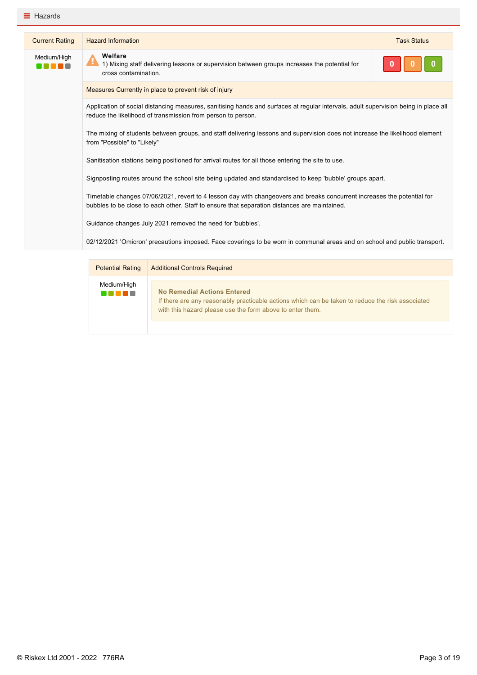| <b>Current Rating</b> | <b>Hazard Information</b>                                                                                                                                                                                               | <b>Task Status</b> |
|-----------------------|-------------------------------------------------------------------------------------------------------------------------------------------------------------------------------------------------------------------------|--------------------|
| Medium/High           | Welfare<br>H<br>1) Mixing staff delivering lessons or supervision between groups increases the potential for<br>cross contamination.                                                                                    |                    |
|                       | Measures Currently in place to prevent risk of injury                                                                                                                                                                   |                    |
|                       | Application of social distancing measures, sanitising hands and surfaces at regular intervals, adult supervision being in place all<br>reduce the likelihood of transmission from person to person.                     |                    |
|                       | The mixing of students between groups, and staff delivering lessons and supervision does not increase the likelihood element<br>from "Possible" to "Likely"                                                             |                    |
|                       | Sanitisation stations being positioned for arrival routes for all those entering the site to use.                                                                                                                       |                    |
|                       | Signposting routes around the school site being updated and standardised to keep 'bubble' groups apart.                                                                                                                 |                    |
|                       | Timetable changes 07/06/2021, revert to 4 lesson day with changeovers and breaks concurrent increases the potential for<br>bubbles to be close to each other. Staff to ensure that separation distances are maintained. |                    |
|                       | Guidance changes July 2021 removed the need for 'bubbles'.                                                                                                                                                              |                    |
|                       | 02/12/2021 'Omicron' precautions imposed. Face coverings to be worn in communal areas and on school and public transport.                                                                                               |                    |

| <b>Potential Rating</b>       | <b>Additional Controls Required</b>                                                                                                                                                                 |  |
|-------------------------------|-----------------------------------------------------------------------------------------------------------------------------------------------------------------------------------------------------|--|
| Medium/High<br><b>THE LET</b> | <b>No Remedial Actions Entered</b><br>If there are any reasonably practicable actions which can be taken to reduce the risk associated<br>with this hazard please use the form above to enter them. |  |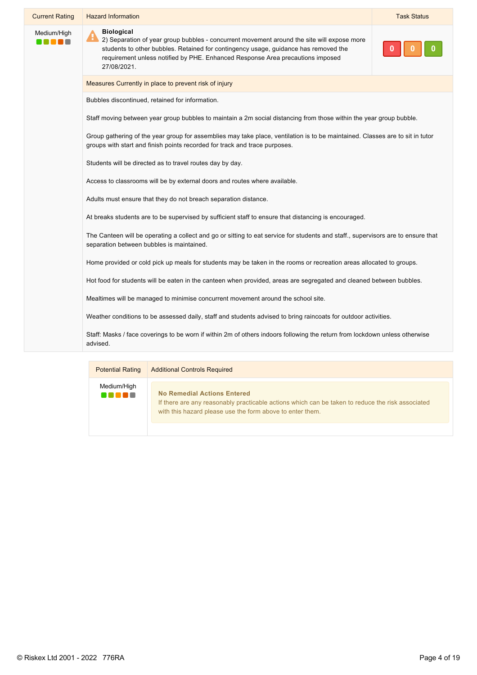| <b>Current Rating</b> | <b>Hazard Information</b>                                                                                                                                                                                                                                                                                    | <b>Task Status</b> |
|-----------------------|--------------------------------------------------------------------------------------------------------------------------------------------------------------------------------------------------------------------------------------------------------------------------------------------------------------|--------------------|
| Medium/High<br>nnan   | <b>Biological</b><br>A<br>2) Separation of year group bubbles - concurrent movement around the site will expose more<br>students to other bubbles. Retained for contingency usage, guidance has removed the<br>requirement unless notified by PHE. Enhanced Response Area precautions imposed<br>27/08/2021. |                    |
|                       | Measures Currently in place to prevent risk of injury                                                                                                                                                                                                                                                        |                    |
|                       | Bubbles discontinued, retained for information.                                                                                                                                                                                                                                                              |                    |
|                       | Staff moving between year group bubbles to maintain a 2m social distancing from those within the year group bubble.                                                                                                                                                                                          |                    |
|                       | Group gathering of the year group for assemblies may take place, ventilation is to be maintained. Classes are to sit in tutor<br>groups with start and finish points recorded for track and trace purposes.                                                                                                  |                    |
|                       | Students will be directed as to travel routes day by day.                                                                                                                                                                                                                                                    |                    |
|                       | Access to classrooms will be by external doors and routes where available.                                                                                                                                                                                                                                   |                    |
|                       | Adults must ensure that they do not breach separation distance.                                                                                                                                                                                                                                              |                    |
|                       | At breaks students are to be supervised by sufficient staff to ensure that distancing is encouraged.                                                                                                                                                                                                         |                    |
|                       | The Canteen will be operating a collect and go or sitting to eat service for students and staff., supervisors are to ensure that<br>separation between bubbles is maintained.                                                                                                                                |                    |
|                       | Home provided or cold pick up meals for students may be taken in the rooms or recreation areas allocated to groups.                                                                                                                                                                                          |                    |
|                       | Hot food for students will be eaten in the canteen when provided, areas are segregated and cleaned between bubbles.                                                                                                                                                                                          |                    |
|                       | Mealtimes will be managed to minimise concurrent movement around the school site.                                                                                                                                                                                                                            |                    |
|                       | Weather conditions to be assessed daily, staff and students advised to bring raincoats for outdoor activities.                                                                                                                                                                                               |                    |
|                       | Staff: Masks / face coverings to be worn if within 2m of others indoors following the return from lockdown unless otherwise<br>advised.                                                                                                                                                                      |                    |
|                       |                                                                                                                                                                                                                                                                                                              |                    |

| <b>Potential Rating</b> | <b>Additional Controls Required</b>                                                                                                                                                          |
|-------------------------|----------------------------------------------------------------------------------------------------------------------------------------------------------------------------------------------|
| Medium/High<br>.        | No Remedial Actions Entered<br>If there are any reasonably practicable actions which can be taken to reduce the risk associated<br>with this hazard please use the form above to enter them. |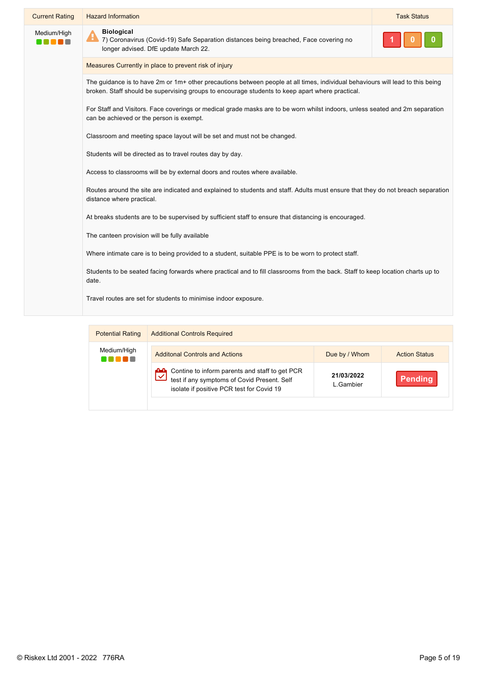| <b>Current Rating</b> | <b>Hazard Information</b>                                                                                                                                                                                                         | <b>Task Status</b> |
|-----------------------|-----------------------------------------------------------------------------------------------------------------------------------------------------------------------------------------------------------------------------------|--------------------|
| Medium/High           | <b>Biological</b><br>Æ<br>7) Coronavirus (Covid-19) Safe Separation distances being breached, Face covering no<br>longer advised. DfE update March 22.                                                                            |                    |
|                       | Measures Currently in place to prevent risk of injury                                                                                                                                                                             |                    |
|                       | The guidance is to have 2m or 1m+ other precautions between people at all times, individual behaviours will lead to this being<br>broken. Staff should be supervising groups to encourage students to keep apart where practical. |                    |
|                       | For Staff and Visitors. Face coverings or medical grade masks are to be worn whilst indoors, unless seated and 2m separation<br>can be achieved or the person is exempt.                                                          |                    |
|                       | Classroom and meeting space layout will be set and must not be changed.                                                                                                                                                           |                    |
|                       | Students will be directed as to travel routes day by day.                                                                                                                                                                         |                    |
|                       | Access to classrooms will be by external doors and routes where available.                                                                                                                                                        |                    |
|                       | Routes around the site are indicated and explained to students and staff. Adults must ensure that they do not breach separation<br>distance where practical.                                                                      |                    |
|                       | At breaks students are to be supervised by sufficient staff to ensure that distancing is encouraged.                                                                                                                              |                    |
|                       | The canteen provision will be fully available                                                                                                                                                                                     |                    |
|                       | Where intimate care is to being provided to a student, suitable PPE is to be worn to protect staff.                                                                                                                               |                    |
|                       | Students to be seated facing forwards where practical and to fill classrooms from the back. Staff to keep location charts up to<br>date.                                                                                          |                    |
|                       | Travel routes are set for students to minimise indoor exposure.                                                                                                                                                                   |                    |
|                       |                                                                                                                                                                                                                                   |                    |

| <b>Potential Rating</b> | <b>Additional Controls Required</b>                                                                                                        |                         |                      |
|-------------------------|--------------------------------------------------------------------------------------------------------------------------------------------|-------------------------|----------------------|
| Medium/High             | <b>Additonal Controls and Actions</b>                                                                                                      | Due by / Whom           | <b>Action Status</b> |
|                         | Contine to inform parents and staff to get PCR<br>test if any symptoms of Covid Present. Self<br>isolate if positive PCR test for Covid 19 | 21/03/2022<br>L.Gambier | Pending              |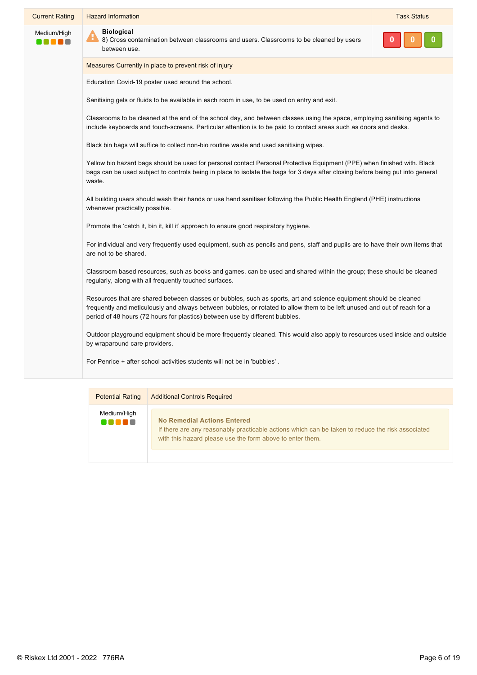| <b>Current Rating</b> | <b>Hazard Information</b>                                                                                                                                                                                                                                            | <b>Task Status</b> |
|-----------------------|----------------------------------------------------------------------------------------------------------------------------------------------------------------------------------------------------------------------------------------------------------------------|--------------------|
| Medium/High           | <b>Biological</b><br>8) Cross contamination between classrooms and users. Classrooms to be cleaned by users<br>between use.                                                                                                                                          |                    |
|                       | Measures Currently in place to prevent risk of injury                                                                                                                                                                                                                |                    |
|                       | Education Covid-19 poster used around the school.                                                                                                                                                                                                                    |                    |
|                       | Sanitising gels or fluids to be available in each room in use, to be used on entry and exit.                                                                                                                                                                         |                    |
|                       | Classrooms to be cleaned at the end of the school day, and between classes using the space, employing sanitising agents to<br>include keyboards and touch-screens. Particular attention is to be paid to contact areas such as doors and desks.                      |                    |
|                       | Black bin bags will suffice to collect non-bio routine waste and used sanitising wipes.                                                                                                                                                                              |                    |
|                       | Yellow bio hazard bags should be used for personal contact Personal Protective Equipment (PPE) when finished with. Black<br>bags can be used subject to controls being in place to isolate the bags for 3 days after closing before being put into general<br>waste. |                    |
|                       | All building users should wash their hands or use hand sanitiser following the Public Health England (PHE) instructions<br>whenever practically possible.                                                                                                            |                    |
|                       | Promote the 'catch it, bin it, kill it' approach to ensure good respiratory hygiene.                                                                                                                                                                                 |                    |
|                       | For individual and very frequently used equipment, such as pencils and pens, staff and pupils are to have their own items that<br>are not to be shared.                                                                                                              |                    |
|                       | Classroom based resources, such as books and games, can be used and shared within the group; these should be cleaned<br>regularly, along with all frequently touched surfaces.                                                                                       |                    |
|                       | Resources that are shared between classes or bubbles, such as sports, art and science equipment should be cleaned<br>frequently and meticulously and always between bubbles, or rotated to allow them to be left unused and out of reach for a                       |                    |

Outdoor playground equipment should be more frequently cleaned. This would also apply to resources used inside and outside by wraparound care providers.

For Penrice + after school activities students will not be in 'bubbles' .

period of 48 hours (72 hours for plastics) between use by different bubbles.

| <b>Potential Rating</b>   | <b>Additional Controls Required</b>                                                                                                                                                                 |  |
|---------------------------|-----------------------------------------------------------------------------------------------------------------------------------------------------------------------------------------------------|--|
| Medium/High<br>T 80 80 80 | <b>No Remedial Actions Entered</b><br>If there are any reasonably practicable actions which can be taken to reduce the risk associated<br>with this hazard please use the form above to enter them. |  |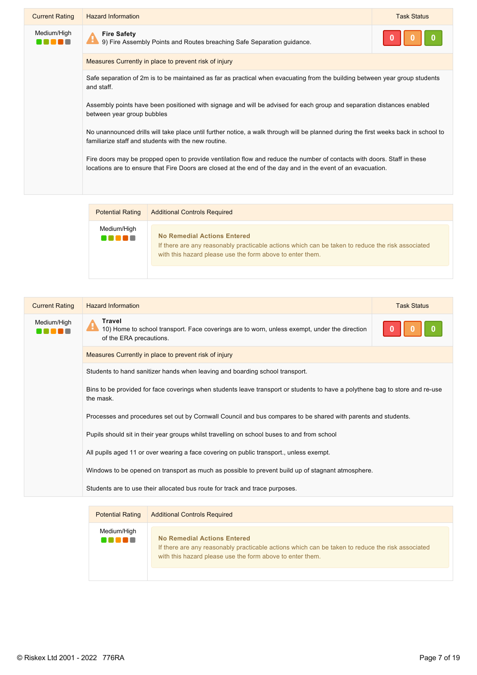| <b>Current Rating</b> | <b>Hazard Information</b>                                                                                                                                                                                                              | <b>Task Status</b> |
|-----------------------|----------------------------------------------------------------------------------------------------------------------------------------------------------------------------------------------------------------------------------------|--------------------|
| Medium/High           | <b>Fire Safety</b><br>9) Fire Assembly Points and Routes breaching Safe Separation guidance.                                                                                                                                           |                    |
|                       | Measures Currently in place to prevent risk of injury                                                                                                                                                                                  |                    |
|                       | Safe separation of 2m is to be maintained as far as practical when evacuating from the building between year group students<br>and staff.                                                                                              |                    |
|                       | Assembly points have been positioned with signage and will be advised for each group and separation distances enabled<br>between year group bubbles                                                                                    |                    |
|                       | No unannounced drills will take place until further notice, a walk through will be planned during the first weeks back in school to<br>familiarize staff and students with the new routine.                                            |                    |
|                       | Fire doors may be propped open to provide ventilation flow and reduce the number of contacts with doors. Staff in these<br>locations are to ensure that Fire Doors are closed at the end of the day and in the event of an evacuation. |                    |
|                       |                                                                                                                                                                                                                                        |                    |

| <b>Potential Rating</b>       | <b>Additional Controls Required</b>                                                                                                                                                          |
|-------------------------------|----------------------------------------------------------------------------------------------------------------------------------------------------------------------------------------------|
| Medium/High<br><b>THE LET</b> | No Remedial Actions Entered<br>If there are any reasonably practicable actions which can be taken to reduce the risk associated<br>with this hazard please use the form above to enter them. |

| <b>Current Rating</b> | <b>Hazard Information</b>                                                                                                                 | <b>Task Status</b> |
|-----------------------|-------------------------------------------------------------------------------------------------------------------------------------------|--------------------|
| Medium/High           | Travel<br>H.<br>10) Home to school transport. Face coverings are to worn, unless exempt, under the direction<br>of the ERA precautions.   |                    |
|                       | Measures Currently in place to prevent risk of injury                                                                                     |                    |
|                       | Students to hand sanitizer hands when leaving and boarding school transport.                                                              |                    |
|                       | Bins to be provided for face coverings when students leave transport or students to have a polythene bag to store and re-use<br>the mask. |                    |
|                       | Processes and procedures set out by Cornwall Council and bus compares to be shared with parents and students.                             |                    |
|                       | Pupils should sit in their year groups whilst travelling on school buses to and from school                                               |                    |
|                       | All pupils aged 11 or over wearing a face covering on public transport., unless exempt.                                                   |                    |
|                       | Windows to be opened on transport as much as possible to prevent build up of stagnant atmosphere.                                         |                    |
|                       | Students are to use their allocated bus route for track and trace purposes.                                                               |                    |
|                       |                                                                                                                                           |                    |

| <b>Potential Rating</b> | <b>Additional Controls Required</b>                                                                                                                                                                 |
|-------------------------|-----------------------------------------------------------------------------------------------------------------------------------------------------------------------------------------------------|
| Medium/High<br>.        | <b>No Remedial Actions Entered</b><br>If there are any reasonably practicable actions which can be taken to reduce the risk associated<br>with this hazard please use the form above to enter them. |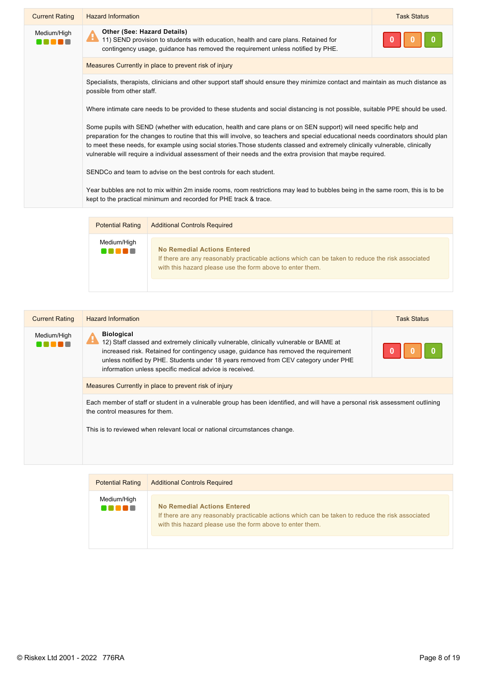| <b>Current Rating</b>  | <b>Hazard Information</b>                                                                                                                                                                                                                                                                                                                                                                                                                                                                                | <b>Task Status</b> |
|------------------------|----------------------------------------------------------------------------------------------------------------------------------------------------------------------------------------------------------------------------------------------------------------------------------------------------------------------------------------------------------------------------------------------------------------------------------------------------------------------------------------------------------|--------------------|
| Medium/High<br>n e e e | <b>Other (See: Hazard Details)</b><br>и.<br>11) SEND provision to students with education, health and care plans. Retained for<br>contingency usage, guidance has removed the requirement unless notified by PHE.                                                                                                                                                                                                                                                                                        |                    |
|                        | Measures Currently in place to prevent risk of injury                                                                                                                                                                                                                                                                                                                                                                                                                                                    |                    |
|                        | Specialists, therapists, clinicians and other support staff should ensure they minimize contact and maintain as much distance as<br>possible from other staff.                                                                                                                                                                                                                                                                                                                                           |                    |
|                        | Where intimate care needs to be provided to these students and social distancing is not possible, suitable PPE should be used.                                                                                                                                                                                                                                                                                                                                                                           |                    |
|                        | Some pupils with SEND (whether with education, health and care plans or on SEN support) will need specific help and<br>preparation for the changes to routine that this will involve, so teachers and special educational needs coordinators should plan<br>to meet these needs, for example using social stories. Those students classed and extremely clinically vulnerable, clinically<br>vulnerable will require a individual assessment of their needs and the extra provision that maybe required. |                    |
|                        | SENDCo and team to advise on the best controls for each student.                                                                                                                                                                                                                                                                                                                                                                                                                                         |                    |
|                        | Year bubbles are not to mix within 2m inside rooms, room restrictions may lead to bubbles being in the same room, this is to be<br>kept to the practical minimum and recorded for PHE track & trace.                                                                                                                                                                                                                                                                                                     |                    |
|                        |                                                                                                                                                                                                                                                                                                                                                                                                                                                                                                          |                    |

| <b>Potential Rating</b> | <b>Additional Controls Required</b>                                                                                                                                                          |
|-------------------------|----------------------------------------------------------------------------------------------------------------------------------------------------------------------------------------------|
| Medium/High             | No Remedial Actions Entered<br>If there are any reasonably practicable actions which can be taken to reduce the risk associated<br>with this hazard please use the form above to enter them. |

| <b>Current Rating</b> | <b>Hazard Information</b>                                                                                                                                                                                                                                                                                                                                   | <b>Task Status</b> |
|-----------------------|-------------------------------------------------------------------------------------------------------------------------------------------------------------------------------------------------------------------------------------------------------------------------------------------------------------------------------------------------------------|--------------------|
| Medium/High           | <b>Biological</b><br>н<br>12) Staff classed and extremely clinically vulnerable, clinically vulnerable or BAME at<br>increased risk. Retained for contingency usage, guidance has removed the requirement<br>unless notified by PHE. Students under 18 years removed from CEV category under PHE<br>information unless specific medical advice is received. |                    |
|                       | Measures Currently in place to prevent risk of injury                                                                                                                                                                                                                                                                                                       |                    |
|                       | Each member of staff or student in a vulnerable group has been identified, and will have a personal risk assessment outlining<br>the control measures for them.                                                                                                                                                                                             |                    |
|                       | This is to reviewed when relevant local or national circumstances change.                                                                                                                                                                                                                                                                                   |                    |
|                       |                                                                                                                                                                                                                                                                                                                                                             |                    |
|                       |                                                                                                                                                                                                                                                                                                                                                             |                    |

| <b>Potential Rating</b> | <b>Additional Controls Required</b>                                                                                                                                                                 |
|-------------------------|-----------------------------------------------------------------------------------------------------------------------------------------------------------------------------------------------------|
| Medium/High<br>an na m  | <b>No Remedial Actions Entered</b><br>If there are any reasonably practicable actions which can be taken to reduce the risk associated<br>with this hazard please use the form above to enter them. |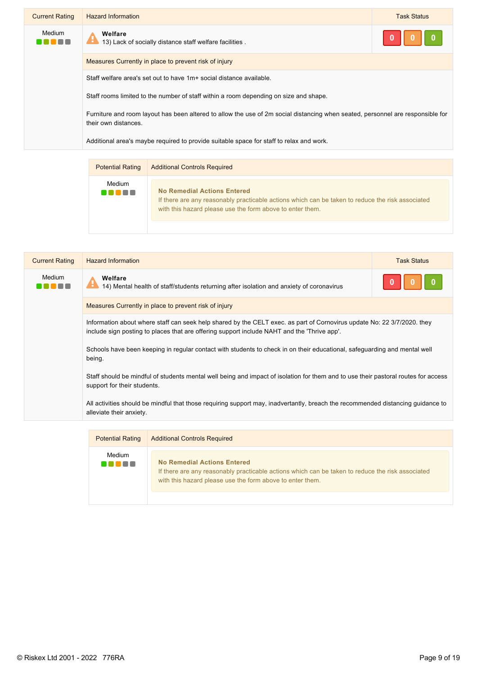| <b>Current Rating</b> | <b>Hazard Information</b>                                                                                                                              | <b>Task Status</b> |
|-----------------------|--------------------------------------------------------------------------------------------------------------------------------------------------------|--------------------|
| Medium                | Welfare<br>Æ<br>13) Lack of socially distance staff welfare facilities.                                                                                |                    |
|                       | Measures Currently in place to prevent risk of injury                                                                                                  |                    |
|                       | Staff welfare area's set out to have 1m+ social distance available.                                                                                    |                    |
|                       | Staff rooms limited to the number of staff within a room depending on size and shape.                                                                  |                    |
|                       | Furniture and room layout has been altered to allow the use of 2m social distancing when seated, personnel are responsible for<br>their own distances. |                    |
|                       | Additional area's maybe required to provide suitable space for staff to relax and work.                                                                |                    |

| <b>Potential Rating</b> | <b>Additional Controls Required</b>                                                                                                                                                                 |
|-------------------------|-----------------------------------------------------------------------------------------------------------------------------------------------------------------------------------------------------|
| Medium<br>. .           | <b>No Remedial Actions Entered</b><br>If there are any reasonably practicable actions which can be taken to reduce the risk associated<br>with this hazard please use the form above to enter them. |

| <b>Current Rating</b> | <b>Hazard Information</b>                                                                                                                                                                                              | <b>Task Status</b> |
|-----------------------|------------------------------------------------------------------------------------------------------------------------------------------------------------------------------------------------------------------------|--------------------|
| Medium<br>- -         | Welfare<br>н<br>14) Mental health of staff/students returning after isolation and anxiety of coronavirus                                                                                                               |                    |
|                       | Measures Currently in place to prevent risk of injury                                                                                                                                                                  |                    |
|                       | Information about where staff can seek help shared by the CELT exec. as part of Cornovirus update No: 22 3/7/2020. they<br>include sign posting to places that are offering support include NAHT and the 'Thrive app'. |                    |
|                       | Schools have been keeping in regular contact with students to check in on their educational, safeguarding and mental well<br>being.                                                                                    |                    |
|                       | Staff should be mindful of students mental well being and impact of isolation for them and to use their pastoral routes for access<br>support for their students.                                                      |                    |
|                       | All activities should be mindful that those requiring support may, inadvertantly, breach the recommended distancing guidance to<br>alleviate their anxiety.                                                            |                    |
|                       |                                                                                                                                                                                                                        |                    |

| <b>Potential Rating</b> | <b>Additional Controls Required</b>                                                                                                                                                                 |
|-------------------------|-----------------------------------------------------------------------------------------------------------------------------------------------------------------------------------------------------|
| Medium<br>4 N N N V     | <b>No Remedial Actions Entered</b><br>If there are any reasonably practicable actions which can be taken to reduce the risk associated<br>with this hazard please use the form above to enter them. |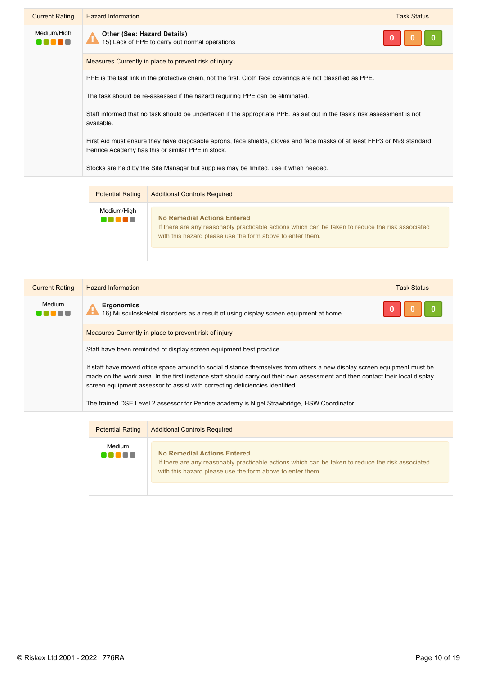| <b>Current Rating</b> | <b>Hazard Information</b>                                                                                                                                                     | <b>Task Status</b> |
|-----------------------|-------------------------------------------------------------------------------------------------------------------------------------------------------------------------------|--------------------|
| Medium/High           | <b>Other (See: Hazard Details)</b><br>15) Lack of PPE to carry out normal operations                                                                                          |                    |
|                       | Measures Currently in place to prevent risk of injury                                                                                                                         |                    |
|                       | PPE is the last link in the protective chain, not the first. Cloth face coverings are not classified as PPE.                                                                  |                    |
|                       | The task should be re-assessed if the hazard requiring PPE can be eliminated.                                                                                                 |                    |
|                       | Staff informed that no task should be undertaken if the appropriate PPE, as set out in the task's risk assessment is not<br>available.                                        |                    |
|                       | First Aid must ensure they have disposable aprons, face shields, gloves and face masks of at least FFP3 or N99 standard.<br>Penrice Academy has this or similar PPE in stock. |                    |
|                       | Stocks are held by the Site Manager but supplies may be limited, use it when needed.                                                                                          |                    |
|                       |                                                                                                                                                                               |                    |

| <b>Potential Rating</b> | <b>Additional Controls Required</b>                                                                                                                                                                 |
|-------------------------|-----------------------------------------------------------------------------------------------------------------------------------------------------------------------------------------------------|
| Medium/High<br>an na n  | <b>No Remedial Actions Entered</b><br>If there are any reasonably practicable actions which can be taken to reduce the risk associated<br>with this hazard please use the form above to enter them. |

| <b>Current Rating</b> | <b>Hazard Information</b>                                                                                                                                                                                                                                                                                                                 | <b>Task Status</b> |
|-----------------------|-------------------------------------------------------------------------------------------------------------------------------------------------------------------------------------------------------------------------------------------------------------------------------------------------------------------------------------------|--------------------|
| Medium                | <b>Ergonomics</b><br>$\mathbf \theta$<br>16) Musculoskeletal disorders as a result of using display screen equipment at home                                                                                                                                                                                                              |                    |
|                       | Measures Currently in place to prevent risk of injury                                                                                                                                                                                                                                                                                     |                    |
|                       | Staff have been reminded of display screen equipment best practice.                                                                                                                                                                                                                                                                       |                    |
|                       | If staff have moved office space around to social distance themselves from others a new display screen equipment must be<br>made on the work area. In the first instance staff should carry out their own assessment and then contact their local display<br>screen equipment assessor to assist with correcting deficiencies identified. |                    |
|                       | The trained DSE Level 2 assessor for Penrice academy is Nigel Strawbridge, HSW Coordinator.                                                                                                                                                                                                                                               |                    |

| <b>Potential Rating</b> | <b>Additional Controls Required</b>                                                                                                                                                                 |
|-------------------------|-----------------------------------------------------------------------------------------------------------------------------------------------------------------------------------------------------|
| Medium                  | <b>No Remedial Actions Entered</b><br>If there are any reasonably practicable actions which can be taken to reduce the risk associated<br>with this hazard please use the form above to enter them. |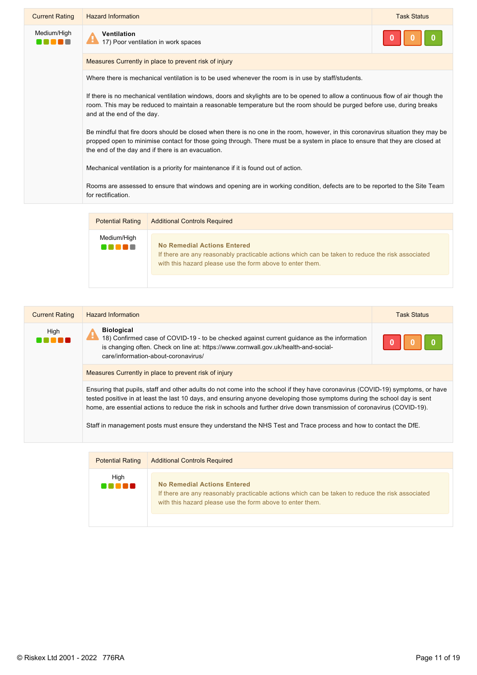| <b>Current Rating</b> | <b>Hazard Information</b>                                                                                                                                                                                                                                                                                            | <b>Task Status</b> |
|-----------------------|----------------------------------------------------------------------------------------------------------------------------------------------------------------------------------------------------------------------------------------------------------------------------------------------------------------------|--------------------|
| Medium/High           | Ventilation<br>17) Poor ventilation in work spaces                                                                                                                                                                                                                                                                   |                    |
|                       | Measures Currently in place to prevent risk of injury                                                                                                                                                                                                                                                                |                    |
|                       | Where there is mechanical ventilation is to be used whenever the room is in use by staff/students.                                                                                                                                                                                                                   |                    |
|                       | If there is no mechanical ventilation windows, doors and skylights are to be opened to allow a continuous flow of air though the<br>room. This may be reduced to maintain a reasonable temperature but the room should be purged before use, during breaks<br>and at the end of the day.                             |                    |
|                       | Be mindful that fire doors should be closed when there is no one in the room, however, in this coronavirus situation they may be<br>propped open to minimise contact for those going through. There must be a system in place to ensure that they are closed at<br>the end of the day and if there is an evacuation. |                    |
|                       | Mechanical ventilation is a priority for maintenance if it is found out of action.                                                                                                                                                                                                                                   |                    |
|                       | Rooms are assessed to ensure that windows and opening are in working condition, defects are to be reported to the Site Team<br>for rectification.                                                                                                                                                                    |                    |

| <b>Potential Rating</b> | <b>Additional Controls Required</b>                                                                                                                                                          |  |
|-------------------------|----------------------------------------------------------------------------------------------------------------------------------------------------------------------------------------------|--|
| Medium/High<br>.        | No Remedial Actions Entered<br>If there are any reasonably practicable actions which can be taken to reduce the risk associated<br>with this hazard please use the form above to enter them. |  |

| <b>Current Rating</b> | <b>Hazard Information</b>                                                                                                                                                                                                                                                                                                                                                                                                                                                                                   | <b>Task Status</b> |
|-----------------------|-------------------------------------------------------------------------------------------------------------------------------------------------------------------------------------------------------------------------------------------------------------------------------------------------------------------------------------------------------------------------------------------------------------------------------------------------------------------------------------------------------------|--------------------|
| High                  | <b>Biological</b><br>18) Confirmed case of COVID-19 - to be checked against current guidance as the information<br>is changing often. Check on line at: https://www.cornwall.gov.uk/health-and-social-<br>care/information-about-coronavirus/                                                                                                                                                                                                                                                               |                    |
|                       | Measures Currently in place to prevent risk of injury                                                                                                                                                                                                                                                                                                                                                                                                                                                       |                    |
|                       | Ensuring that pupils, staff and other adults do not come into the school if they have coronavirus (COVID-19) symptoms, or have<br>tested positive in at least the last 10 days, and ensuring anyone developing those symptoms during the school day is sent<br>home, are essential actions to reduce the risk in schools and further drive down transmission of coronavirus (COVID-19).<br>Staff in management posts must ensure they understand the NHS Test and Trace process and how to contact the DfE. |                    |

| <b>Potential Rating</b> | <b>Additional Controls Required</b>                                                                                                                                                                 |  |
|-------------------------|-----------------------------------------------------------------------------------------------------------------------------------------------------------------------------------------------------|--|
| High<br>.               | <b>No Remedial Actions Entered</b><br>If there are any reasonably practicable actions which can be taken to reduce the risk associated<br>with this hazard please use the form above to enter them. |  |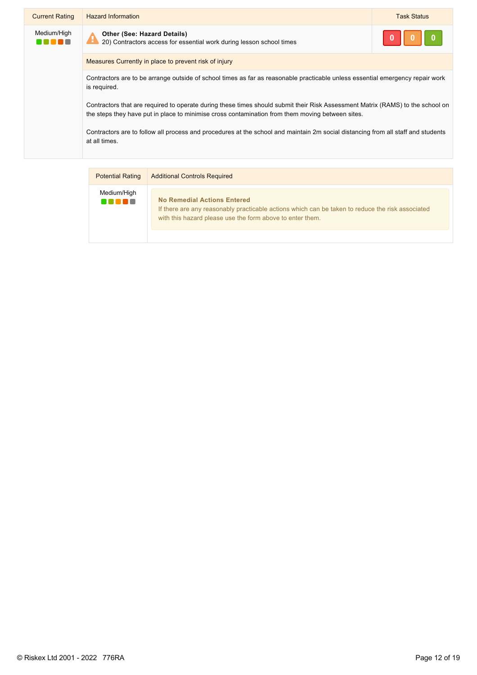| <b>Current Rating</b> | <b>Hazard Information</b>                                                                                                                                                                                                          | <b>Task Status</b> |
|-----------------------|------------------------------------------------------------------------------------------------------------------------------------------------------------------------------------------------------------------------------------|--------------------|
| Medium/High           | <b>Other (See: Hazard Details)</b><br>20) Contractors access for essential work during lesson school times                                                                                                                         |                    |
|                       | Measures Currently in place to prevent risk of injury                                                                                                                                                                              |                    |
|                       | Contractors are to be arrange outside of school times as far as reasonable practicable unless essential emergency repair work<br>is required.                                                                                      |                    |
|                       | Contractors that are required to operate during these times should submit their Risk Assessment Matrix (RAMS) to the school on<br>the steps they have put in place to minimise cross contamination from them moving between sites. |                    |
|                       | Contractors are to follow all process and procedures at the school and maintain 2m social distancing from all staff and students<br>at all times.                                                                                  |                    |
|                       |                                                                                                                                                                                                                                    |                    |

| <b>Potential Rating</b> | <b>Additional Controls Required</b>                                                                                                                                                                 |  |
|-------------------------|-----------------------------------------------------------------------------------------------------------------------------------------------------------------------------------------------------|--|
| Medium/High<br>88 E B   | <b>No Remedial Actions Entered</b><br>If there are any reasonably practicable actions which can be taken to reduce the risk associated<br>with this hazard please use the form above to enter them. |  |
|                         |                                                                                                                                                                                                     |  |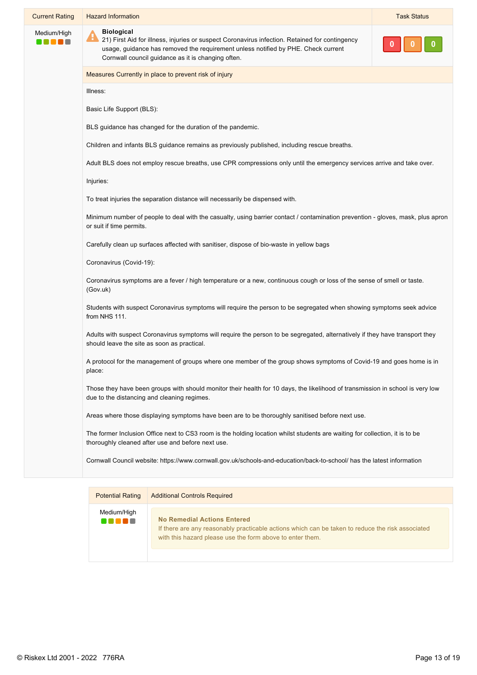| <b>Current Rating</b>    | <b>Hazard Information</b>                                                                                                                                                                                                                                                     | <b>Task Status</b> |
|--------------------------|-------------------------------------------------------------------------------------------------------------------------------------------------------------------------------------------------------------------------------------------------------------------------------|--------------------|
| Medium/High<br>n n n n n | <b>Biological</b><br>$\clubsuit$<br>21) First Aid for illness, injuries or suspect Coronavirus infection. Retained for contingency<br>usage, guidance has removed the requirement unless notified by PHE. Check current<br>Cornwall council guidance as it is changing often. |                    |
|                          | Measures Currently in place to prevent risk of injury                                                                                                                                                                                                                         |                    |
|                          | Illness:                                                                                                                                                                                                                                                                      |                    |
|                          | Basic Life Support (BLS):                                                                                                                                                                                                                                                     |                    |
|                          | BLS guidance has changed for the duration of the pandemic.                                                                                                                                                                                                                    |                    |
|                          | Children and infants BLS guidance remains as previously published, including rescue breaths.                                                                                                                                                                                  |                    |
|                          | Adult BLS does not employ rescue breaths, use CPR compressions only until the emergency services arrive and take over.                                                                                                                                                        |                    |
|                          | Injuries:                                                                                                                                                                                                                                                                     |                    |
|                          | To treat injuries the separation distance will necessarily be dispensed with.                                                                                                                                                                                                 |                    |
|                          | Minimum number of people to deal with the casualty, using barrier contact / contamination prevention - gloves, mask, plus apron<br>or suit if time permits.                                                                                                                   |                    |
|                          | Carefully clean up surfaces affected with sanitiser, dispose of bio-waste in yellow bags                                                                                                                                                                                      |                    |
|                          | Coronavirus (Covid-19):                                                                                                                                                                                                                                                       |                    |
|                          | Coronavirus symptoms are a fever / high temperature or a new, continuous cough or loss of the sense of smell or taste.<br>(Gov.uk)                                                                                                                                            |                    |
|                          | Students with suspect Coronavirus symptoms will require the person to be segregated when showing symptoms seek advice<br>from NHS 111.                                                                                                                                        |                    |
|                          | Adults with suspect Coronavirus symptoms will require the person to be segregated, alternatively if they have transport they<br>should leave the site as soon as practical.                                                                                                   |                    |
|                          | A protocol for the management of groups where one member of the group shows symptoms of Covid-19 and goes home is in<br>place:                                                                                                                                                |                    |
|                          | Those they have been groups with should monitor their health for 10 days, the likelihood of transmission in school is very low<br>due to the distancing and cleaning regimes.                                                                                                 |                    |
|                          | Areas where those displaying symptoms have been are to be thoroughly sanitised before next use.                                                                                                                                                                               |                    |
|                          | The former Inclusion Office next to CS3 room is the holding location whilst students are waiting for collection, it is to be<br>thoroughly cleaned after use and before next use.                                                                                             |                    |
|                          | Cornwall Council website: https://www.cornwall.gov.uk/schools-and-education/back-to-school/ has the latest information                                                                                                                                                        |                    |
|                          |                                                                                                                                                                                                                                                                               |                    |
|                          | <b>Potential Rating Additional Controls Required</b>                                                                                                                                                                                                                          |                    |

| <b>Potential Rating</b> | <b>Additional Controls Required</b>                                                                                                                                                                 |
|-------------------------|-----------------------------------------------------------------------------------------------------------------------------------------------------------------------------------------------------|
| Medium/High<br>vo so n  | <b>No Remedial Actions Entered</b><br>If there are any reasonably practicable actions which can be taken to reduce the risk associated<br>with this hazard please use the form above to enter them. |
|                         |                                                                                                                                                                                                     |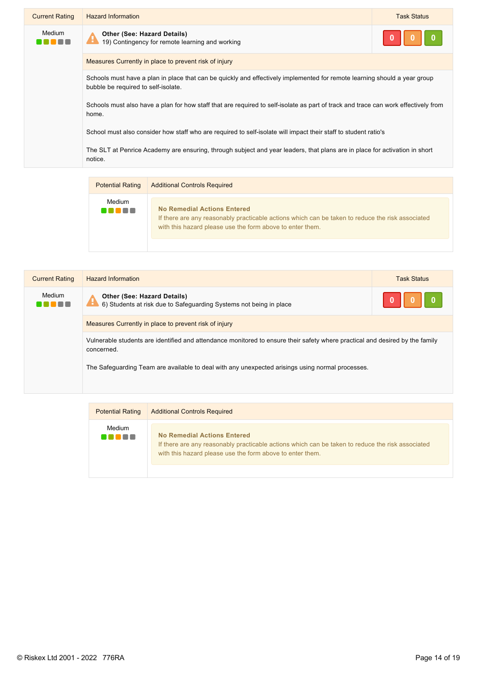| <b>Current Rating</b> | <b>Hazard Information</b>                                                                                                                                        | <b>Task Status</b> |
|-----------------------|------------------------------------------------------------------------------------------------------------------------------------------------------------------|--------------------|
| Medium                | <b>Other (See: Hazard Details)</b><br>19) Contingency for remote learning and working                                                                            |                    |
|                       | Measures Currently in place to prevent risk of injury                                                                                                            |                    |
|                       | Schools must have a plan in place that can be quickly and effectively implemented for remote learning should a year group<br>bubble be required to self-isolate. |                    |
|                       | Schools must also have a plan for how staff that are required to self-isolate as part of track and trace can work effectively from<br>home.                      |                    |
|                       | School must also consider how staff who are required to self-isolate will impact their staff to student ratio's                                                  |                    |
|                       | The SLT at Penrice Academy are ensuring, through subject and year leaders, that plans are in place for activation in short<br>notice.                            |                    |

| <b>Potential Rating</b> | <b>Additional Controls Required</b>                                                                                                                                                          |  |
|-------------------------|----------------------------------------------------------------------------------------------------------------------------------------------------------------------------------------------|--|
| Medium<br>an nov        | No Remedial Actions Entered<br>If there are any reasonably practicable actions which can be taken to reduce the risk associated<br>with this hazard please use the form above to enter them. |  |

|  | <b>Current Rating</b> | <b>Hazard Information</b>                                                                                                                  | <b>Task Status</b> |
|--|-----------------------|--------------------------------------------------------------------------------------------------------------------------------------------|--------------------|
|  | Medium<br>n ni        | <b>Other (See: Hazard Details)</b><br>6) Students at risk due to Safeguarding Systems not being in place                                   |                    |
|  |                       | Measures Currently in place to prevent risk of injury                                                                                      |                    |
|  |                       | Vulnerable students are identified and attendance monitored to ensure their safety where practical and desired by the family<br>concerned. |                    |
|  |                       | The Safeguarding Team are available to deal with any unexpected arisings using normal processes.                                           |                    |
|  |                       |                                                                                                                                            |                    |

| <b>Potential Rating</b> | <b>Additional Controls Required</b>                                                                                                                                                                 |
|-------------------------|-----------------------------------------------------------------------------------------------------------------------------------------------------------------------------------------------------|
| Medium<br>.             | <b>No Remedial Actions Entered</b><br>If there are any reasonably practicable actions which can be taken to reduce the risk associated<br>with this hazard please use the form above to enter them. |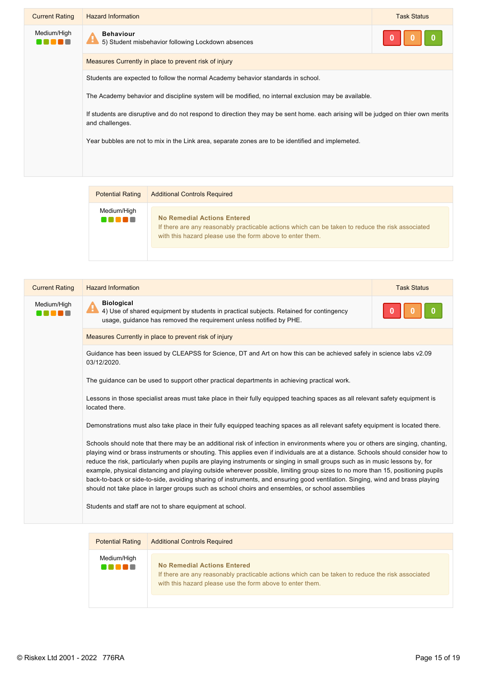| <b>Current Rating</b> | <b>Hazard Information</b>                                                                                                                            | <b>Task Status</b> |
|-----------------------|------------------------------------------------------------------------------------------------------------------------------------------------------|--------------------|
| Medium/High           | <b>Behaviour</b><br>5) Student misbehavior following Lockdown absences                                                                               |                    |
|                       | Measures Currently in place to prevent risk of injury                                                                                                |                    |
|                       | Students are expected to follow the normal Academy behavior standards in school.                                                                     |                    |
|                       | The Academy behavior and discipline system will be modified, no internal exclusion may be available.                                                 |                    |
|                       | If students are disruptive and do not respond to direction they may be sent home, each arising will be judged on thier own merits<br>and challenges. |                    |
|                       | Year bubbles are not to mix in the Link area, separate zones are to be identified and implemeted.                                                    |                    |
|                       |                                                                                                                                                      |                    |
|                       |                                                                                                                                                      |                    |

| <b>Potential Rating</b> | <b>Additional Controls Required</b>                                                                                                                                                                 |
|-------------------------|-----------------------------------------------------------------------------------------------------------------------------------------------------------------------------------------------------|
| Medium/High<br>.        | <b>No Remedial Actions Entered</b><br>If there are any reasonably practicable actions which can be taken to reduce the risk associated<br>with this hazard please use the form above to enter them. |

| <b>Biological</b><br>Medium/High<br>4) Use of shared equipment by students in practical subjects. Retained for contingency<br>usage, quidance has removed the requirement unless notified by PHE.<br>Measures Currently in place to prevent risk of injury<br>Guidance has been issued by CLEAPSS for Science, DT and Art on how this can be achieved safely in science labs v2.09<br>03/12/2020.<br>The guidance can be used to support other practical departments in achieving practical work.<br>Lessons in those specialist areas must take place in their fully equipped teaching spaces as all relevant safety equipment is<br>located there.<br>Demonstrations must also take place in their fully equipped teaching spaces as all relevant safety equipment is located there.<br>Schools should note that there may be an additional risk of infection in environments where you or others are singing, chanting,<br>playing wind or brass instruments or shouting. This applies even if individuals are at a distance. Schools should consider how to<br>reduce the risk, particularly when pupils are playing instruments or singing in small groups such as in music lessons by, for<br>example, physical distancing and playing outside wherever possible, limiting group sizes to no more than 15, positioning pupils<br>back-to-back or side-to-side, avoiding sharing of instruments, and ensuring good ventilation. Singing, wind and brass playing<br>should not take place in larger groups such as school choirs and ensembles, or school assemblies | <b>Current Rating</b> | <b>Hazard Information</b>                                | <b>Task Status</b> |
|--------------------------------------------------------------------------------------------------------------------------------------------------------------------------------------------------------------------------------------------------------------------------------------------------------------------------------------------------------------------------------------------------------------------------------------------------------------------------------------------------------------------------------------------------------------------------------------------------------------------------------------------------------------------------------------------------------------------------------------------------------------------------------------------------------------------------------------------------------------------------------------------------------------------------------------------------------------------------------------------------------------------------------------------------------------------------------------------------------------------------------------------------------------------------------------------------------------------------------------------------------------------------------------------------------------------------------------------------------------------------------------------------------------------------------------------------------------------------------------------------------------------------------------------------------------------------|-----------------------|----------------------------------------------------------|--------------------|
|                                                                                                                                                                                                                                                                                                                                                                                                                                                                                                                                                                                                                                                                                                                                                                                                                                                                                                                                                                                                                                                                                                                                                                                                                                                                                                                                                                                                                                                                                                                                                                          |                       |                                                          |                    |
|                                                                                                                                                                                                                                                                                                                                                                                                                                                                                                                                                                                                                                                                                                                                                                                                                                                                                                                                                                                                                                                                                                                                                                                                                                                                                                                                                                                                                                                                                                                                                                          |                       |                                                          |                    |
|                                                                                                                                                                                                                                                                                                                                                                                                                                                                                                                                                                                                                                                                                                                                                                                                                                                                                                                                                                                                                                                                                                                                                                                                                                                                                                                                                                                                                                                                                                                                                                          |                       |                                                          |                    |
|                                                                                                                                                                                                                                                                                                                                                                                                                                                                                                                                                                                                                                                                                                                                                                                                                                                                                                                                                                                                                                                                                                                                                                                                                                                                                                                                                                                                                                                                                                                                                                          |                       |                                                          |                    |
|                                                                                                                                                                                                                                                                                                                                                                                                                                                                                                                                                                                                                                                                                                                                                                                                                                                                                                                                                                                                                                                                                                                                                                                                                                                                                                                                                                                                                                                                                                                                                                          |                       |                                                          |                    |
|                                                                                                                                                                                                                                                                                                                                                                                                                                                                                                                                                                                                                                                                                                                                                                                                                                                                                                                                                                                                                                                                                                                                                                                                                                                                                                                                                                                                                                                                                                                                                                          |                       |                                                          |                    |
|                                                                                                                                                                                                                                                                                                                                                                                                                                                                                                                                                                                                                                                                                                                                                                                                                                                                                                                                                                                                                                                                                                                                                                                                                                                                                                                                                                                                                                                                                                                                                                          |                       |                                                          |                    |
|                                                                                                                                                                                                                                                                                                                                                                                                                                                                                                                                                                                                                                                                                                                                                                                                                                                                                                                                                                                                                                                                                                                                                                                                                                                                                                                                                                                                                                                                                                                                                                          |                       | Students and staff are not to share equipment at school. |                    |

| <b>Potential Rating</b> | <b>Additional Controls Required</b>                                                                                                                                                          |  |
|-------------------------|----------------------------------------------------------------------------------------------------------------------------------------------------------------------------------------------|--|
| Medium/High             | No Remedial Actions Entered<br>If there are any reasonably practicable actions which can be taken to reduce the risk associated<br>with this hazard please use the form above to enter them. |  |

T

 $\mathbb{R}$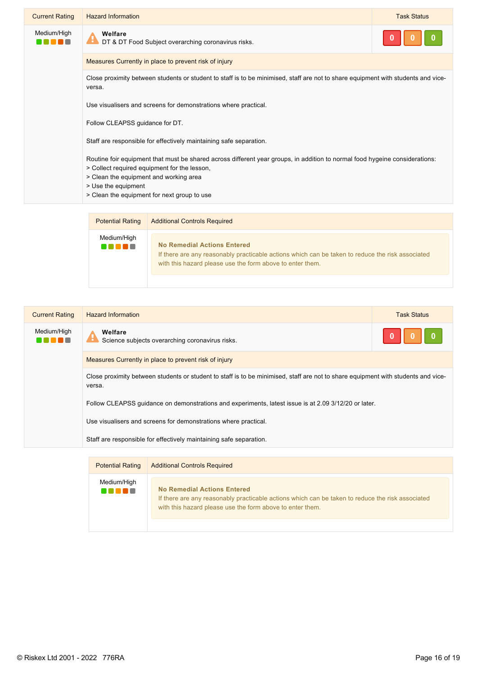| <b>Current Rating</b> | <b>Hazard Information</b>                                                                                                                                                                                                                                                                   | <b>Task Status</b> |
|-----------------------|---------------------------------------------------------------------------------------------------------------------------------------------------------------------------------------------------------------------------------------------------------------------------------------------|--------------------|
| Medium/High           | Welfare<br>DT & DT Food Subject overarching coronavirus risks.                                                                                                                                                                                                                              |                    |
|                       | Measures Currently in place to prevent risk of injury                                                                                                                                                                                                                                       |                    |
|                       | Close proximity between students or student to staff is to be minimised, staff are not to share equipment with students and vice-<br>versa.                                                                                                                                                 |                    |
|                       | Use visualisers and screens for demonstrations where practical.                                                                                                                                                                                                                             |                    |
|                       | Follow CLEAPSS guidance for DT.                                                                                                                                                                                                                                                             |                    |
|                       | Staff are responsible for effectively maintaining safe separation.                                                                                                                                                                                                                          |                    |
|                       | Routine foir equipment that must be shared across different year groups, in addition to normal food hygeine considerations:<br>> Collect required equipment for the lesson,<br>> Clean the equipment and working area<br>> Use the equipment<br>> Clean the equipment for next group to use |                    |



| <b>Current Rating</b> | <b>Hazard Information</b>                                                                                                                   | <b>Task Status</b> |
|-----------------------|---------------------------------------------------------------------------------------------------------------------------------------------|--------------------|
| Medium/High           | Welfare<br>÷<br>Science subjects overarching coronavirus risks.                                                                             |                    |
|                       | Measures Currently in place to prevent risk of injury                                                                                       |                    |
|                       | Close proximity between students or student to staff is to be minimised, staff are not to share equipment with students and vice-<br>versa. |                    |
|                       | Follow CLEAPSS guidance on demonstrations and experiments, latest issue is at 2.09 3/12/20 or later.                                        |                    |
|                       | Use visualisers and screens for demonstrations where practical.                                                                             |                    |
|                       | Staff are responsible for effectively maintaining safe separation.                                                                          |                    |
|                       |                                                                                                                                             |                    |

| <b>Potential Rating</b> | <b>Additional Controls Required</b>                                                                                                                                                          |
|-------------------------|----------------------------------------------------------------------------------------------------------------------------------------------------------------------------------------------|
| Medium/High<br>. .      | No Remedial Actions Entered<br>If there are any reasonably practicable actions which can be taken to reduce the risk associated<br>with this hazard please use the form above to enter them. |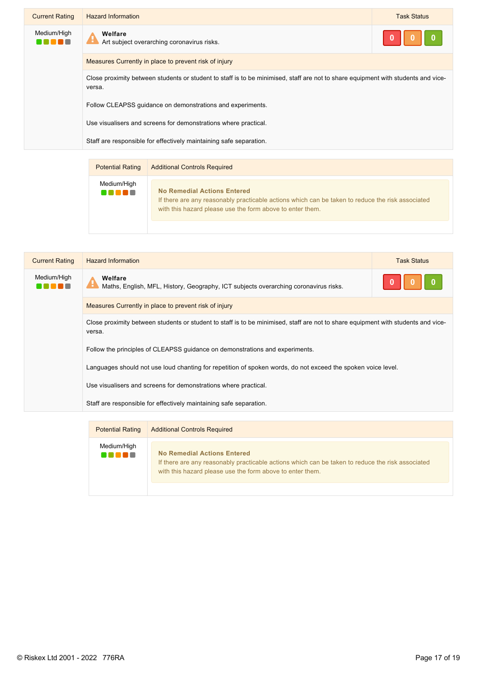| <b>Current Rating</b> | <b>Hazard Information</b>                                                                                                                   | <b>Task Status</b> |
|-----------------------|---------------------------------------------------------------------------------------------------------------------------------------------|--------------------|
| Medium/High           | Welfare<br>Art subject overarching coronavirus risks.                                                                                       |                    |
|                       | Measures Currently in place to prevent risk of injury                                                                                       |                    |
|                       | Close proximity between students or student to staff is to be minimised, staff are not to share equipment with students and vice-<br>versa. |                    |
|                       | Follow CLEAPSS quidance on demonstrations and experiments.                                                                                  |                    |
|                       | Use visualisers and screens for demonstrations where practical.                                                                             |                    |
|                       | Staff are responsible for effectively maintaining safe separation.                                                                          |                    |
|                       |                                                                                                                                             |                    |

| <b>Potential Rating</b> | <b>Additional Controls Required</b>                                                                                                                                                          |
|-------------------------|----------------------------------------------------------------------------------------------------------------------------------------------------------------------------------------------|
| Medium/High             | No Remedial Actions Entered<br>If there are any reasonably practicable actions which can be taken to reduce the risk associated<br>with this hazard please use the form above to enter them. |

| <b>Current Rating</b> | <b>Hazard Information</b>                                                                                                                   | <b>Task Status</b> |
|-----------------------|---------------------------------------------------------------------------------------------------------------------------------------------|--------------------|
| Medium/High<br>e e e  | Welfare<br>Maths, English, MFL, History, Geography, ICT subjects overarching coronavirus risks.                                             |                    |
|                       | Measures Currently in place to prevent risk of injury                                                                                       |                    |
|                       | Close proximity between students or student to staff is to be minimised, staff are not to share equipment with students and vice-<br>versa. |                    |
|                       | Follow the principles of CLEAPSS guidance on demonstrations and experiments.                                                                |                    |
|                       | Languages should not use loud chanting for repetition of spoken words, do not exceed the spoken voice level.                                |                    |
|                       | Use visualisers and screens for demonstrations where practical.                                                                             |                    |
|                       | Staff are responsible for effectively maintaining safe separation.                                                                          |                    |
|                       |                                                                                                                                             |                    |

| Medium/High<br><b>No Remedial Actions Entered</b>                                                                                                             | <b>Potential Rating</b> |
|---------------------------------------------------------------------------------------------------------------------------------------------------------------|-------------------------|
| If there are any reasonably practicable actions which can be taken to reduce the risk associated<br>with this hazard please use the form above to enter them. | n na m                  |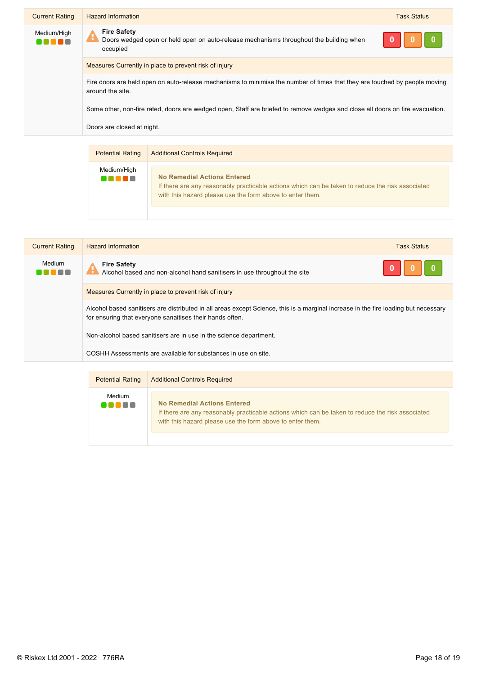| <b>Current Rating</b> | <b>Hazard Information</b>                                                                                                                      | <b>Task Status</b> |
|-----------------------|------------------------------------------------------------------------------------------------------------------------------------------------|--------------------|
| Medium/High           | <b>Fire Safety</b><br>Doors wedged open or held open on auto-release mechanisms throughout the building when<br>occupied                       |                    |
|                       | Measures Currently in place to prevent risk of injury                                                                                          |                    |
|                       | Fire doors are held open on auto-release mechanisms to minimise the number of times that they are touched by people moving<br>around the site. |                    |
|                       | Some other, non-fire rated, doors are wedged open, Staff are briefed to remove wedges and close all doors on fire evacuation.                  |                    |
|                       | Doors are closed at night.                                                                                                                     |                    |

| <b>Potential Rating</b> | <b>Additional Controls Required</b>                                                                                                                                                          |  |
|-------------------------|----------------------------------------------------------------------------------------------------------------------------------------------------------------------------------------------|--|
| Medium/High             | No Remedial Actions Entered<br>If there are any reasonably practicable actions which can be taken to reduce the risk associated<br>with this hazard please use the form above to enter them. |  |

| <b>Current Rating</b> | <b>Hazard Information</b>                                                                                                                                                                       | <b>Task Status</b> |
|-----------------------|-------------------------------------------------------------------------------------------------------------------------------------------------------------------------------------------------|--------------------|
| Medium                | <b>Fire Safety</b><br>Alcohol based and non-alcohol hand sanitisers in use throughout the site                                                                                                  |                    |
|                       | Measures Currently in place to prevent risk of injury                                                                                                                                           |                    |
|                       | Alcohol based sanitisers are distributed in all areas except Science, this is a marginal increase in the fire loading but necessary<br>for ensuring that everyone sanaitises their hands often. |                    |
|                       | Non-alcohol based sanitisers are in use in the science department.                                                                                                                              |                    |
|                       | COSHH Assessments are available for substances in use on site.                                                                                                                                  |                    |

| <b>Potential Rating</b> | <b>Additional Controls Required</b>                                                                                                                                                                 |  |
|-------------------------|-----------------------------------------------------------------------------------------------------------------------------------------------------------------------------------------------------|--|
| Medium<br>.             | <b>No Remedial Actions Entered</b><br>If there are any reasonably practicable actions which can be taken to reduce the risk associated<br>with this hazard please use the form above to enter them. |  |